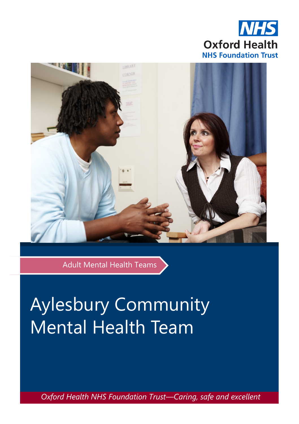



Adult Mental Health Teams

# Aylesbury Community Mental Health Team

*Oxford Health NHS Foundation Trust—Caring, safe and excellent*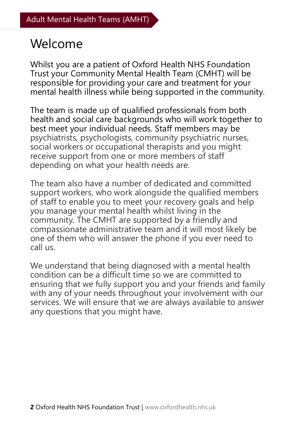## Welcome

Whilst you are a patient of Oxford Health NHS Foundation Trust your Community Mental Health Team (CMHT) will be responsible for providing your care and treatment for your mental health illness while being supported in the community.

The team is made up of qualified professionals from both health and social care backgrounds who will work together to best meet your individual needs. Staff members may be psychiatrists, psychologists, community psychiatric nurses, social workers or occupational therapists and you might receive support from one or more members of staff depending on what your health needs are.

The team also have a number of dedicated and committed support workers, who work alongside the qualified members of staff to enable you to meet your recovery goals and help you manage your mental health whilst living in the community. The CMHT are supported by a friendly and compassionate administrative team and it will most likely be one of them who will answer the phone if you ever need to call us.

We understand that being diagnosed with a mental health condition can be a difficult time so we are committed to ensuring that we fully support you and your friends and family with any of your needs throughout your involvement with our services. We will ensure that we are always available to answer any questions that you might have.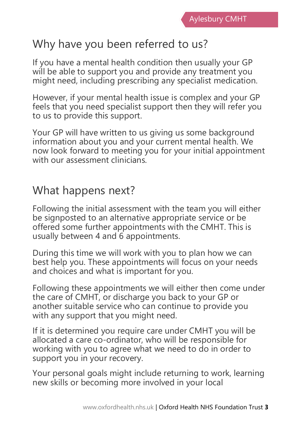## Why have you been referred to us?

If you have a mental health condition then usually your GP will be able to support you and provide any treatment you might need, including prescribing any specialist medication.

However, if your mental health issue is complex and your GP feels that you need specialist support then they will refer you to us to provide this support.

Your GP will have written to us giving us some background information about you and your current mental health. We now look forward to meeting you for your initial appointment with our assessment clinicians.

#### What happens next?

Following the initial assessment with the team you will either be signposted to an alternative appropriate service or be offered some further appointments with the CMHT. This is usually between 4 and 6 appointments.

During this time we will work with you to plan how we can best help you. These appointments will focus on your needs and choices and what is important for you.

Following these appointments we will either then come under the care of CMHT, or discharge you back to your GP or another suitable service who can continue to provide you with any support that you might need.

If it is determined you require care under CMHT you will be allocated a care co-ordinator, who will be responsible for working with you to agree what we need to do in order to support you in your recovery.

Your personal goals might include returning to work, learning new skills or becoming more involved in your local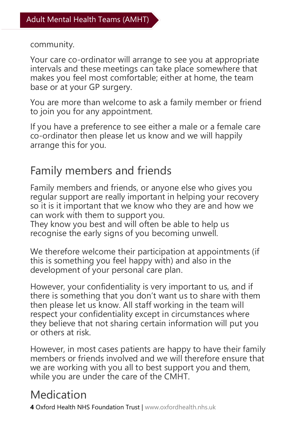community.

Your care co-ordinator will arrange to see you at appropriate intervals and these meetings can take place somewhere that makes you feel most comfortable; either at home, the team base or at your GP surgery.

You are more than welcome to ask a family member or friend to join you for any appointment.

If you have a preference to see either a male or a female care co-ordinator then please let us know and we will happily arrange this for you.

### Family members and friends

Family members and friends, or anyone else who gives you regular support are really important in helping your recovery so it is it important that we know who they are and how we can work with them to support you.

They know you best and will often be able to help us recognise the early signs of you becoming unwell.

We therefore welcome their participation at appointments (if this is something you feel happy with) and also in the development of your personal care plan.

However, your confidentiality is very important to us, and if there is something that you don't want us to share with them then please let us know. All staff working in the team will respect your confidentiality except in circumstances where they believe that not sharing certain information will put you or others at risk.

However, in most cases patients are happy to have their family members or friends involved and we will therefore ensure that we are working with you all to best support you and them, while you are under the care of the CMHT.

## Medication

**4** Oxford Health NHS Foundation Trust | www.oxfordhealth.nhs.uk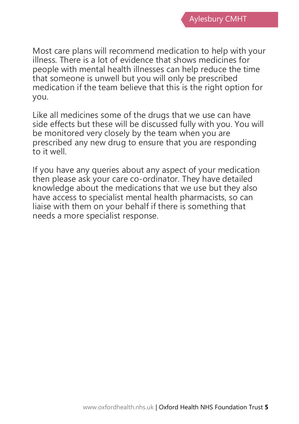Most care plans will recommend medication to help with your illness. There is a lot of evidence that shows medicines for people with mental health illnesses can help reduce the time that someone is unwell but you will only be prescribed medication if the team believe that this is the right option for you.

Like all medicines some of the drugs that we use can have side effects but these will be discussed fully with you. You will be monitored very closely by the team when you are prescribed any new drug to ensure that you are responding to it well.

If you have any queries about any aspect of your medication then please ask your care co-ordinator. They have detailed knowledge about the medications that we use but they also have access to specialist mental health pharmacists, so can liaise with them on your behalf if there is something that needs a more specialist response.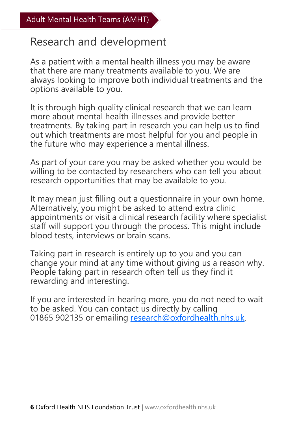#### Research and development

As a patient with a mental health illness you may be aware that there are many treatments available to you. We are always looking to improve both individual treatments and the options available to you.

It is through high quality clinical research that we can learn more about mental health illnesses and provide better treatments. By taking part in research you can help us to find out which treatments are most helpful for you and people in the future who may experience a mental illness.

As part of your care you may be asked whether you would be willing to be contacted by researchers who can tell you about research opportunities that may be available to you.

It may mean just filling out a questionnaire in your own home. Alternatively, you might be asked to attend extra clinic appointments or visit a clinical research facility where specialist staff will support you through the process. This might include blood tests, interviews or brain scans.

Taking part in research is entirely up to you and you can change your mind at any time without giving us a reason why. People taking part in research often tell us they find it rewarding and interesting.

If you are interested in hearing more, you do not need to wait to be asked. You can contact us directly by calling 01865 902135 or emailing [research@oxfordhealth.nhs.uk.](mailto:research@oxfordhealth.nhs.uk)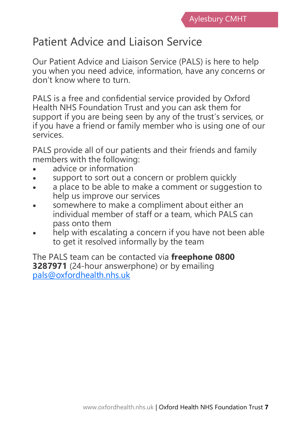## Patient Advice and Liaison Service

Our Patient Advice and Liaison Service (PALS) is here to help you when you need advice, information, have any concerns or don't know where to turn.

PALS is a free and confidential service provided by Oxford Health NHS Foundation Trust and you can ask them for support if you are being seen by any of the trust's services, or if you have a friend or family member who is using one of our services.

PALS provide all of our patients and their friends and family members with the following:

- advice or information
- support to sort out a concern or problem quickly
- a place to be able to make a comment or suggestion to help us improve our services
- somewhere to make a compliment about either an individual member of staff or a team, which PALS can pass onto them
- help with escalating a concern if you have not been able to get it resolved informally by the team

The PALS team can be contacted via **freephone 0800 3287971** (24-hour answerphone) or by emailing [pals@oxfordhealth.nhs.uk](mailto:pals@oxfordhealth.nhs.uk)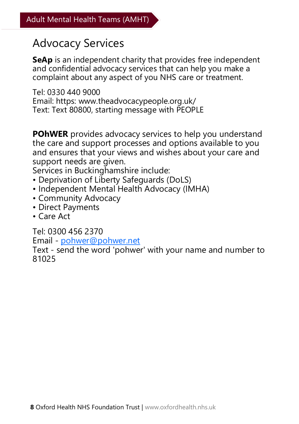#### Advocacy Services

**SeAp** is an independent charity that provides free independent and confidential advocacy services that can help you make a complaint about any aspect of you NHS care or treatment.

Tel: 0330 440 9000 Email: https: www.theadvocacypeople.org.uk/ Text: Text 80800, starting message with PEOPLE

**POhWER** provides advocacy services to help you understand the care and support processes and options available to you and ensures that your views and wishes about your care and support needs are given.

Services in Buckinghamshire include:

- Deprivation of Liberty Safeguards (DoLS)
- Independent Mental Health Advocacy (IMHA)
- Community Advocacy
- Direct Payments
- Care Act

Tel: 0300 456 2370

Email - [pohwer@pohwer.net](mailto:pohwer@pohwer.net)

Text - send the word 'pohwer' with your name and number to 81025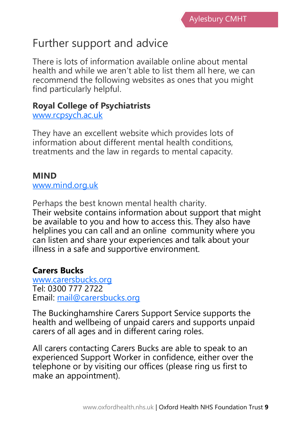## Further support and advice

There is lots of information available online about mental health and while we aren't able to list them all here, we can recommend the following websites as ones that you might find particularly helpful.

#### **Royal College of Psychiatrists**

[www.rcpsych.ac.uk](https://www.rcpsych.ac.uk/mental-health)

They have an excellent website which provides lots of information about different mental health conditions, treatments and the law in regards to mental capacity.

#### **MIND**

[www.mind.org.uk](http://www.mind.org.uk)

Perhaps the best known mental health charity. Their website contains information about support that might be available to you and how to access this. They also have helplines you can call and an online community where you can listen and share your experiences and talk about your illness in a safe and supportive environment.

#### **Carers Bucks**

[www.carersbucks.org](https://carersbucks.org/) Tel: 0300 777 2722 Email: [mail@carersbucks.org](mailto:mail@carersbucks.org)

The Buckinghamshire Carers Support Service supports the health and wellbeing of unpaid carers and supports unpaid carers of all ages and in different caring roles.

All carers contacting Carers Bucks are able to speak to an experienced Support Worker in confidence, either over the telephone or by visiting our offices (please ring us first to make an appointment).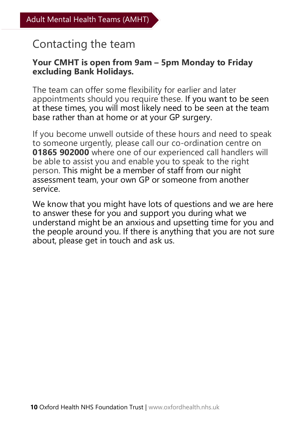#### Contacting the team

#### **Your CMHT is open from 9am – 5pm Monday to Friday excluding Bank Holidays.**

The team can offer some flexibility for earlier and later appointments should you require these. If you want to be seen at these times, you will most likely need to be seen at the team base rather than at home or at your GP surgery.

If you become unwell outside of these hours and need to speak to someone urgently, please call our co-ordination centre on **01865 902000** where one of our experienced call handlers will be able to assist you and enable you to speak to the right person. This might be a member of staff from our night assessment team, your own GP or someone from another service.

We know that you might have lots of questions and we are here to answer these for you and support you during what we understand might be an anxious and upsetting time for you and the people around you. If there is anything that you are not sure about, please get in touch and ask us.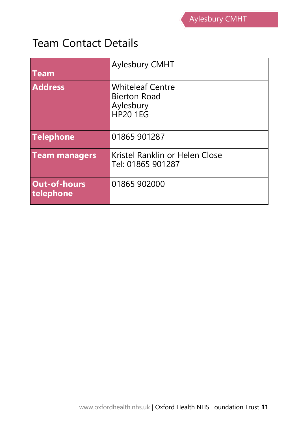#### Team Contact Details

| <b>Team</b>                      | Aylesbury CMHT                                                                 |
|----------------------------------|--------------------------------------------------------------------------------|
| <b>Address</b>                   | <b>Whiteleaf Centre</b><br><b>Bierton Road</b><br>Aylesbury<br><b>HP20 1EG</b> |
| <b>Telephone</b>                 | 01865 901287                                                                   |
| <b>Team managers</b>             | Kristel Ranklin or Helen Close<br>Tel: 01865 901287                            |
| <b>Out-of-hours</b><br>telephone | 01865 902000                                                                   |